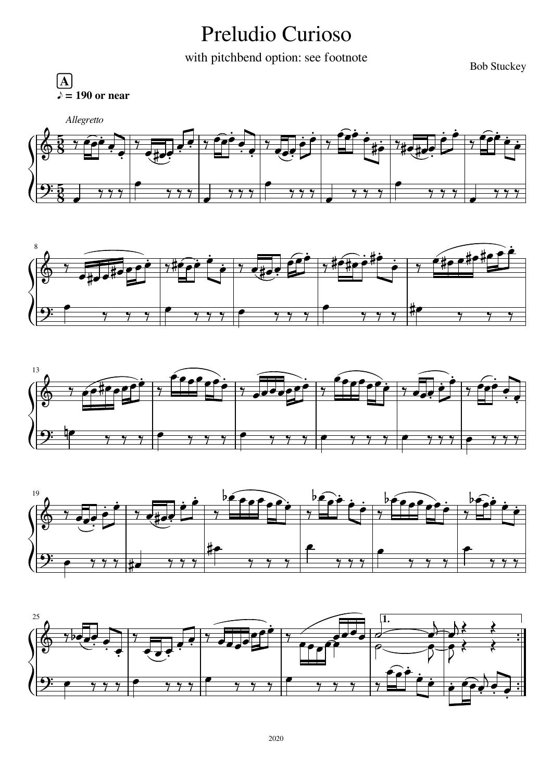Preludio Curioso

with pitchbend option: see footnote

Bob Stuckey











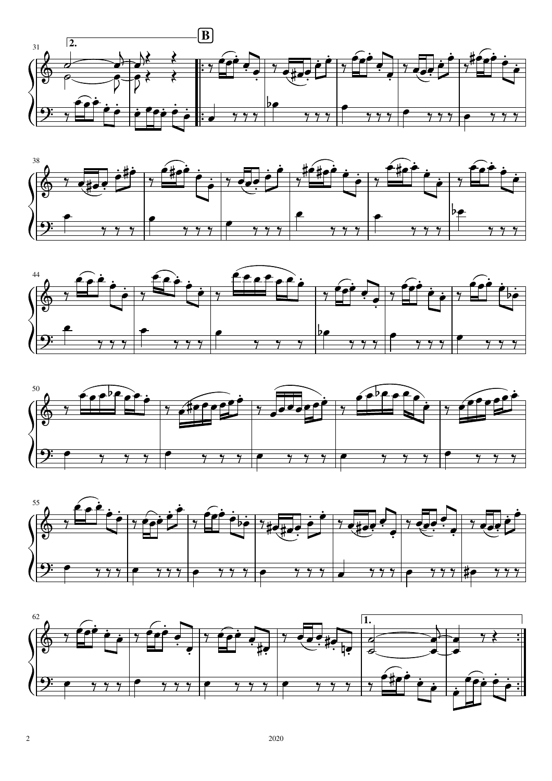